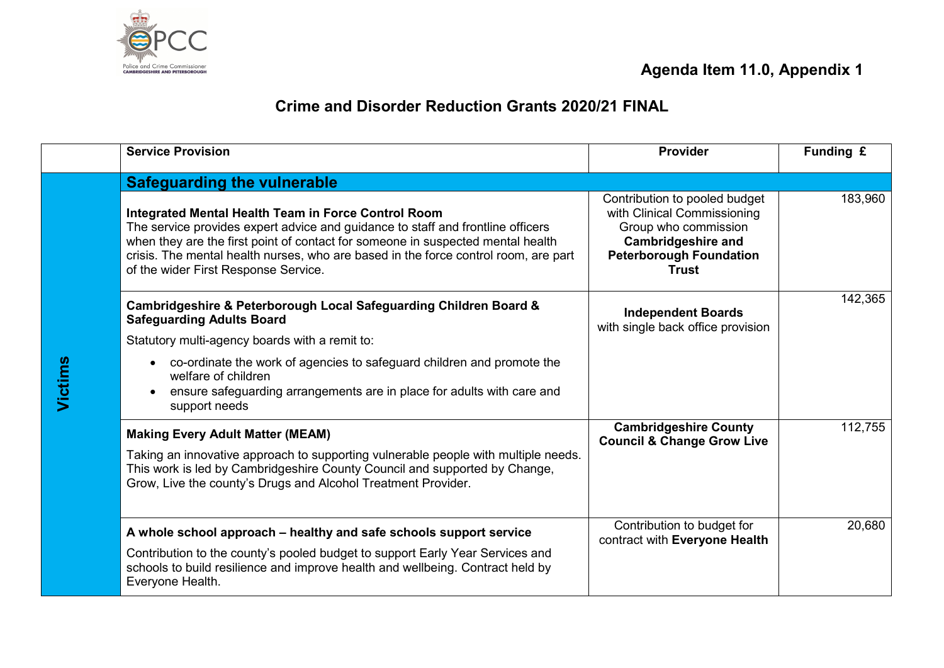

|         | <b>Service Provision</b>                                                                                                                                                                                                                                                                                                                                 | Provider                                                                                                                                                            | Funding £ |  |
|---------|----------------------------------------------------------------------------------------------------------------------------------------------------------------------------------------------------------------------------------------------------------------------------------------------------------------------------------------------------------|---------------------------------------------------------------------------------------------------------------------------------------------------------------------|-----------|--|
|         | <b>Safeguarding the vulnerable</b>                                                                                                                                                                                                                                                                                                                       |                                                                                                                                                                     |           |  |
| Victims | Integrated Mental Health Team in Force Control Room<br>The service provides expert advice and guidance to staff and frontline officers<br>when they are the first point of contact for someone in suspected mental health<br>crisis. The mental health nurses, who are based in the force control room, are part<br>of the wider First Response Service. | Contribution to pooled budget<br>with Clinical Commissioning<br>Group who commission<br><b>Cambridgeshire and</b><br><b>Peterborough Foundation</b><br><b>Trust</b> | 183,960   |  |
|         | Cambridgeshire & Peterborough Local Safeguarding Children Board &<br><b>Safeguarding Adults Board</b><br>Statutory multi-agency boards with a remit to:                                                                                                                                                                                                  | <b>Independent Boards</b><br>with single back office provision                                                                                                      | 142,365   |  |
|         | • co-ordinate the work of agencies to safeguard children and promote the<br>welfare of children<br>ensure safeguarding arrangements are in place for adults with care and<br>support needs                                                                                                                                                               |                                                                                                                                                                     |           |  |
|         | <b>Making Every Adult Matter (MEAM)</b><br>Taking an innovative approach to supporting vulnerable people with multiple needs.<br>This work is led by Cambridgeshire County Council and supported by Change,<br>Grow, Live the county's Drugs and Alcohol Treatment Provider.                                                                             | <b>Cambridgeshire County</b><br><b>Council &amp; Change Grow Live</b>                                                                                               | 112,755   |  |
|         | A whole school approach – healthy and safe schools support service<br>Contribution to the county's pooled budget to support Early Year Services and<br>schools to build resilience and improve health and wellbeing. Contract held by<br>Everyone Health.                                                                                                | Contribution to budget for<br>contract with Everyone Health                                                                                                         | 20,680    |  |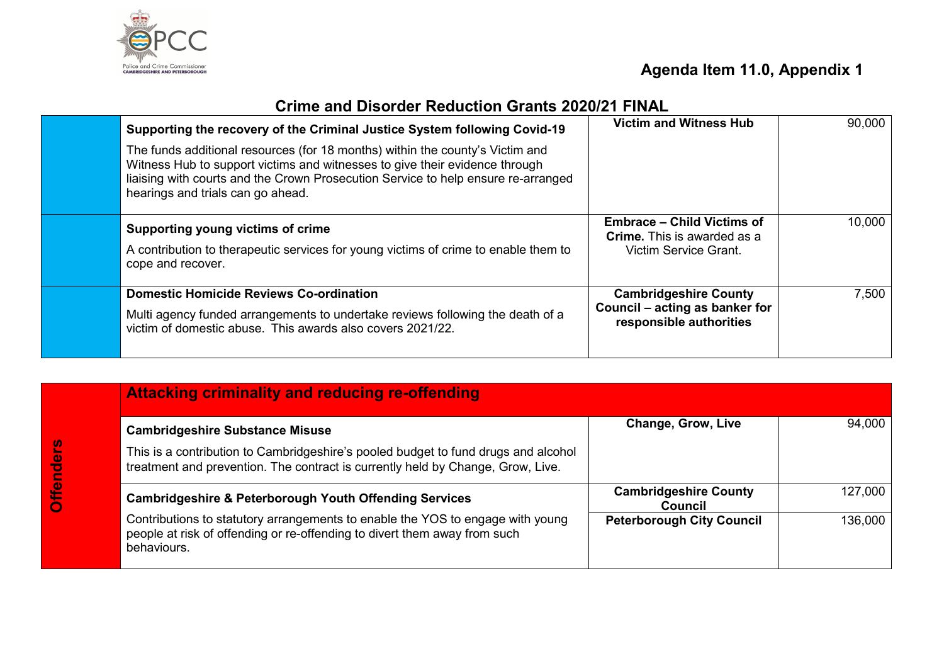

**Offenders**

**Offenders** 

| Supporting the recovery of the Criminal Justice System following Covid-19                                                                                                                                                                                                              | <b>Victim and Witness Hub</b>                                                                    | 90,000 |
|----------------------------------------------------------------------------------------------------------------------------------------------------------------------------------------------------------------------------------------------------------------------------------------|--------------------------------------------------------------------------------------------------|--------|
| The funds additional resources (for 18 months) within the county's Victim and<br>Witness Hub to support victims and witnesses to give their evidence through<br>liaising with courts and the Crown Prosecution Service to help ensure re-arranged<br>hearings and trials can go ahead. |                                                                                                  |        |
| Supporting young victims of crime<br>A contribution to therapeutic services for young victims of crime to enable them to<br>cope and recover.                                                                                                                                          | <b>Embrace - Child Victims of</b><br><b>Crime.</b> This is awarded as a<br>Victim Service Grant. | 10,000 |
| <b>Domestic Homicide Reviews Co-ordination</b><br>Multi agency funded arrangements to undertake reviews following the death of a<br>victim of domestic abuse. This awards also covers 2021/22.                                                                                         | <b>Cambridgeshire County</b><br>Council – acting as banker for<br>responsible authorities        | 7,500  |

| <b>Attacking criminality and reducing re-offending</b>                                                                                                                     |                                                |         |
|----------------------------------------------------------------------------------------------------------------------------------------------------------------------------|------------------------------------------------|---------|
| <b>Cambridgeshire Substance Misuse</b>                                                                                                                                     | Change, Grow, Live                             | 94,000  |
| This is a contribution to Cambridgeshire's pooled budget to fund drugs and alcohol<br>treatment and prevention. The contract is currently held by Change, Grow, Live.      |                                                |         |
| <b>Cambridgeshire &amp; Peterborough Youth Offending Services</b>                                                                                                          | <b>Cambridgeshire County</b><br><b>Council</b> | 127,000 |
| Contributions to statutory arrangements to enable the YOS to engage with young<br>people at risk of offending or re-offending to divert them away from such<br>behaviours. | <b>Peterborough City Council</b>               | 136,000 |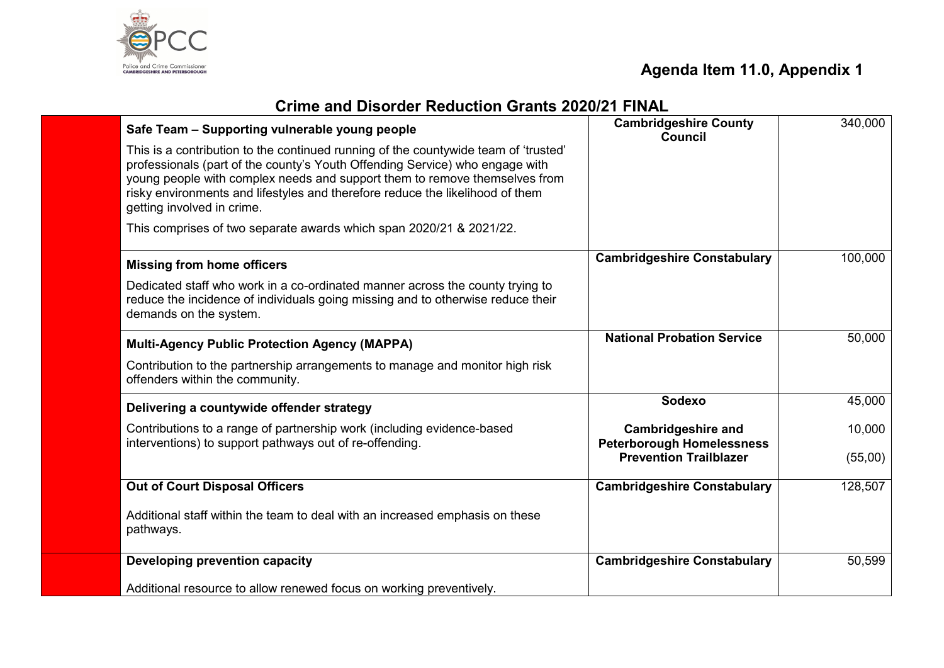

| Safe Team - Supporting vulnerable young people                                                                                                                                                                                                                                                                                                                   | <b>Cambridgeshire County</b><br><b>Council</b>                    | 340,000 |
|------------------------------------------------------------------------------------------------------------------------------------------------------------------------------------------------------------------------------------------------------------------------------------------------------------------------------------------------------------------|-------------------------------------------------------------------|---------|
| This is a contribution to the continued running of the countywide team of 'trusted'<br>professionals (part of the county's Youth Offending Service) who engage with<br>young people with complex needs and support them to remove themselves from<br>risky environments and lifestyles and therefore reduce the likelihood of them<br>getting involved in crime. |                                                                   |         |
| This comprises of two separate awards which span 2020/21 & 2021/22.                                                                                                                                                                                                                                                                                              |                                                                   |         |
| <b>Missing from home officers</b>                                                                                                                                                                                                                                                                                                                                | <b>Cambridgeshire Constabulary</b>                                | 100,000 |
| Dedicated staff who work in a co-ordinated manner across the county trying to<br>reduce the incidence of individuals going missing and to otherwise reduce their<br>demands on the system.                                                                                                                                                                       |                                                                   |         |
| <b>Multi-Agency Public Protection Agency (MAPPA)</b>                                                                                                                                                                                                                                                                                                             | <b>National Probation Service</b>                                 | 50,000  |
| Contribution to the partnership arrangements to manage and monitor high risk<br>offenders within the community.                                                                                                                                                                                                                                                  |                                                                   |         |
| Delivering a countywide offender strategy                                                                                                                                                                                                                                                                                                                        | <b>Sodexo</b>                                                     | 45,000  |
| Contributions to a range of partnership work (including evidence-based                                                                                                                                                                                                                                                                                           | <b>Cambridgeshire and</b>                                         | 10,000  |
| interventions) to support pathways out of re-offending.                                                                                                                                                                                                                                                                                                          | <b>Peterborough Homelessness</b><br><b>Prevention Trailblazer</b> | (55,00) |
| <b>Out of Court Disposal Officers</b>                                                                                                                                                                                                                                                                                                                            | <b>Cambridgeshire Constabulary</b>                                | 128,507 |
| Additional staff within the team to deal with an increased emphasis on these<br>pathways.                                                                                                                                                                                                                                                                        |                                                                   |         |
| Developing prevention capacity                                                                                                                                                                                                                                                                                                                                   | <b>Cambridgeshire Constabulary</b>                                | 50,599  |
| Additional resource to allow renewed focus on working preventively.                                                                                                                                                                                                                                                                                              |                                                                   |         |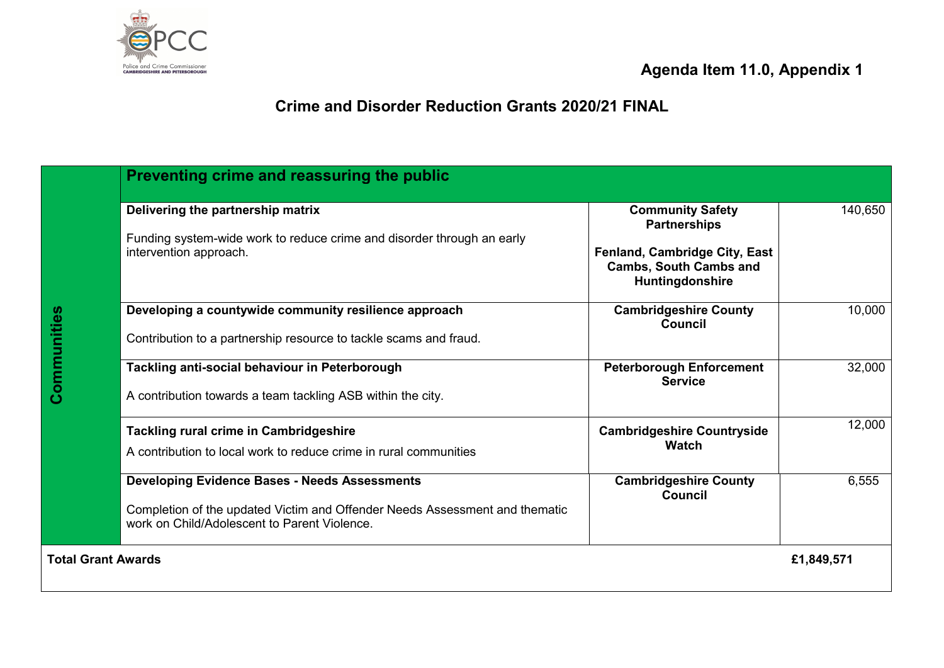

# **Agenda Item 11.0, Appendix 1**

|                           | Preventing crime and reassuring the public                                                                                                                                          |                                                                                   |            |  |
|---------------------------|-------------------------------------------------------------------------------------------------------------------------------------------------------------------------------------|-----------------------------------------------------------------------------------|------------|--|
| Communities               | Delivering the partnership matrix                                                                                                                                                   | <b>Community Safety</b><br><b>Partnerships</b>                                    | 140,650    |  |
|                           | Funding system-wide work to reduce crime and disorder through an early<br>intervention approach.                                                                                    | Fenland, Cambridge City, East<br><b>Cambs, South Cambs and</b><br>Huntingdonshire |            |  |
|                           | Developing a countywide community resilience approach<br>Contribution to a partnership resource to tackle scams and fraud.                                                          | <b>Cambridgeshire County</b><br><b>Council</b>                                    | 10,000     |  |
|                           | Tackling anti-social behaviour in Peterborough<br>A contribution towards a team tackling ASB within the city.                                                                       | <b>Peterborough Enforcement</b><br><b>Service</b>                                 | 32,000     |  |
|                           | <b>Tackling rural crime in Cambridgeshire</b><br>A contribution to local work to reduce crime in rural communities                                                                  | <b>Cambridgeshire Countryside</b><br><b>Watch</b>                                 | 12,000     |  |
|                           | <b>Developing Evidence Bases - Needs Assessments</b><br>Completion of the updated Victim and Offender Needs Assessment and thematic<br>work on Child/Adolescent to Parent Violence. | <b>Cambridgeshire County</b><br>Council                                           | 6,555      |  |
| <b>Total Grant Awards</b> |                                                                                                                                                                                     |                                                                                   | £1,849,571 |  |